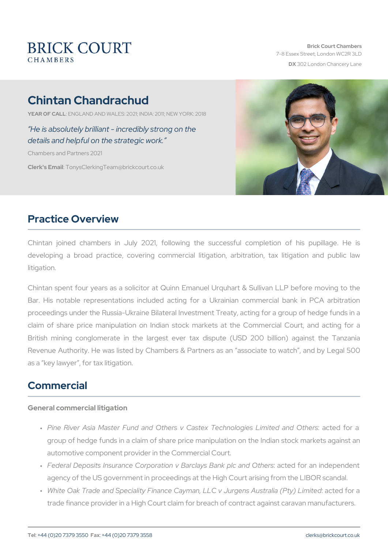# Chintan Chandrachud

YEAR OF CALNLGLAND AND WALES: 2021; INDIA: 2011; NEW YORK: 2018

 He is absolutely brilliant - incredibly strong on the details and helpful on the strategic work.

Chambers and Partners 2021

Clerk's Emanily sClerking Team @brickcourt.co.uk

#### Practice Overview

Chintan joined chambers in July 2021, following the successful developing a broad practice, covering commercial litigation, arbit litigation.

Chintan spent four years as a solicitor at Quinn Emanuel Urquhart Bar. His notable representations included acting for a Ukrainian proceedings under the Russia-Ukraine Bilateral Investment Treaty, ac claim of share price manipulation on Indian stock markets at the British mining conglomerate in the largest ever tax dispute (US Revenue Authority. He was listed by Chambers & Partners as an as as a key lawyer , for tax litigation.

## Commercial

General commercial litigation

- " Pine River Asia Master Fund and Others v Castex: Tæccthendolfoogiea group of hedge funds in a claim of share price manipulation on the automotive component provider in the Commercial Court.
- " Federal Deposits Insurance Corporation v Banccltæyds floanakn pilncd apel agency of the US government in proceedings at the High Court aristical.
- " White Oak Trade and Speciality Finance Cayman, LLC actedgéonsa trade finance provider in a High Court claim for breach of contract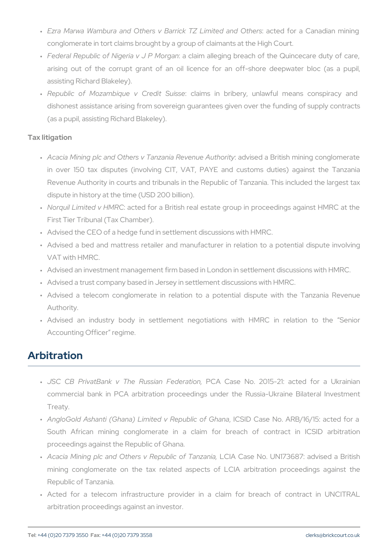- " Ezra Marwa Wambura and Others v BarrickacTeZd Lfiormitæd Candd Datrh conglomerate in tort claims brought by a group of claimants at the
- " Federal Republic of Nigeriaa vclalinPh balloleggainng breach of the Quince arising out of the corrupt grant of an oil licence for an off assisting Richard Blakeley).
- " Republic of Mozambique :v cDariendsit inSuibsrsibery, unlawful means dishonest assistance arising from sovereign guarantees given ove (as a pupil, assisting Richard Blakeley).

Tax litigation

- " A cacia Mining plc and Others v TanzaandavisReedveanuBeriAinsthhomriintying co in over 150 tax disputes (involving CIT, VAT, PAYE and cus Revenue Authority in courts and tribunals in the Republic of Tan: dispute in history at the time (USD 200 billion).
- " Norquil Limited: vacHtMcRCfor a British real estate group in proceedi First Tier Tribunal (Tax Chamber).
- " Advised the CEO of a hedge fund in settlement discussions with H
- " Advised a bed and mattress retailer and manufacturer in relatic VAT with HMRC.
- " Advised an investment management firm based in London in settler
- " Advised a trust company based in Jersey in settlement discussions
- " Advised a telecom conglomerate in relation to a potential dis Authority.
- " Advised an industry body in settlement negotiations with F Accounting Officer regime.

#### Arbitration

- " JSC CB PrivatBank v The RPuGsAia6CasFeedblroatio2n0,15-21: acted f commercial bank in PCA arbitration proceedings under the Rus Treaty.
- AngloGold Ashanti (Ghana) Limited v Republic of Ghana , ICSID Case No. ARB/16/15: acted for a " South African mining conglomerate in a claim for breach proceedings against the Republic of Ghana.
- " A cacia Mining plc and Others v LRGelpAubCliacseofN TolanUz bulni7a3,687: advis mining conglomerate on the tax related aspects of LCIA arb Republic of Tanzania.
- " Acted for a telecom infrastructure provider in a claim for arbitration proceedings against an investor.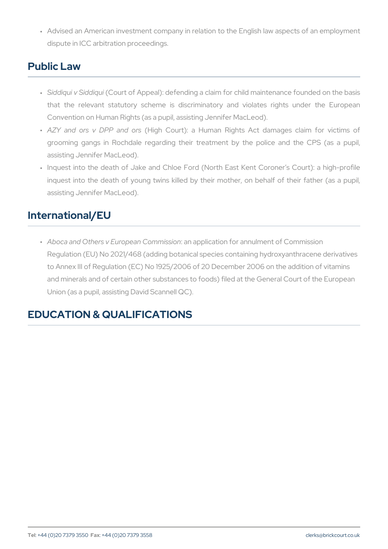" Advised an American investment company in relation to the Englis dispute in ICC arbitration proceedings.

## Public Law

- " Siddiqui v S (i **C o**urt of Appeal): defending a claim for child mainten that the relevant statutory scheme is discriminatory and violates Convention on Human Rights (as a pupil, assisting Jennifer MacLe
- " AZY and ors v DPHPig**a**ndCoouns): a Human Rights Act damages grooming gangs in Rochdale regarding their treatment by the assisting Jennifer MacLeod).
- " Inquest into the death of Jake and Chloe Ford (North East Kent inquest into the death of young twins killed by their mother, or assisting Jennifer MacLeod).

## International/EU

" Aboca and Others v Europeaann Caoprphicsastion for annulment of Commis Regulation (EU) No 2021/468 (adding botanical species containing to Annex III of Regulation (EC) No 1925/2006 of 20 December 2006 and minerals and of certain other substances to foods) filed at the Union (as a pupil, assisting David Scannell QC).

# EDUCATION & QUALIFICATIONS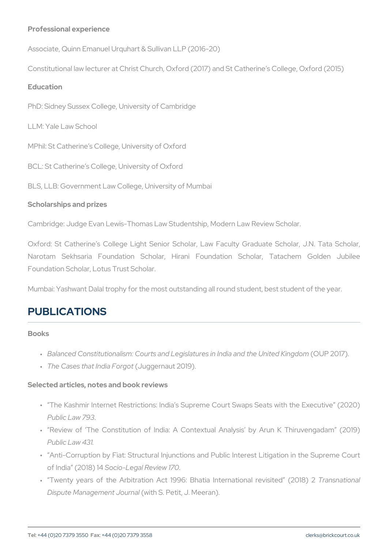Professional experience Associate, Quinn Emanuel Urquhart & Sullivan LLP (2016-20) Constitutional law lecturer at Christ Church, Oxford (2017) and St Cat Education PhD: Sidney Sussex College, University of Cambridge LLM: Yale Law School MPhil: St Catherine s College, University of Oxford BCL: St Catherine s College, University of Oxford BLS, LLB: Government Law College, University of Mumbai Scholarships and prizes Cambridge: Judge Evan Lewis-Thomas Law Studentship, Modern Law R Oxford: St Catherine s College Light Senior Scholar, Law Faculty Narotam Sekhsaria Foundation Scholar, Hirani Foundation S Foundation Scholar, Lotus Trust Scholar.

Mumbai: Yashwant Dalal trophy for the most outstanding all round student

# PUBLICATIONS

Books

- " Balanced Constitutionalism: Courts and Legislatures OrU Pn @ Dal And the United Stated Kingdom and the United Kingdom B
- " The Cases that  $\ln \frac{d}{d}$  a grammatut 2019).

Selected articles, notes and book reviews

- " The Kashmir Internet Restrictions: India s Supreme Court Swaps Public Law 793 .
- " Review of The Constitution of India: A Contextual Analysis Public Law 431.
- " Anti-Corruption by Fiat: Structural Injunctions and Public Intere of India  $(2808)$  of Review 170
- " Twenty years of the Arbitration Act 1996: Bhatia Tr**ianesmeationneal** Dispute Managemen(wiltohu Sna Petit, J. Meeran).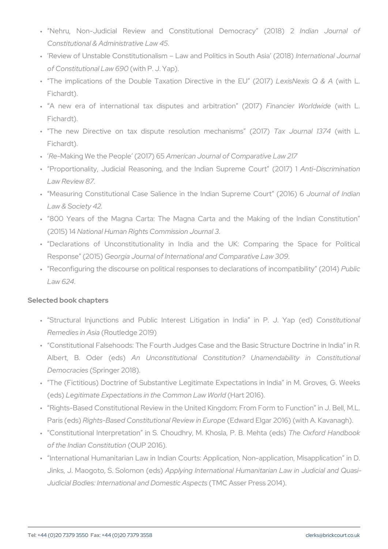- " Nehru, Non-Judicial Review and Constitutli**odiaal**n D**.Lemuoronal c** Constitutional & Administrative Law 45 .
- " Review of Unstable Constitutionalism Law and nPt**er**intaic isoninal S.bouut **r** of Constitutional (wawh F90J. Yap).
- " The implications of the Double Taxation  $\square$ LioresicstNo-eexisn(Qivhit& PLU  $\square$ Fichardt).
- " A new era of international tax disputFeisna**acideranWordmilanotividam**be L.( Fichardt).
- " The new Directive on tax dispute resoTuatxionJoumrencahla(wii3s1m̃4sL. Fichardt).
- " ReMaking We the Peoplame 20dan Sournal of Comparative Law 217
- " Proportionality, Judicial Reasoning, and the IAAdmitahDi**Scopimeinmeati**on Law Review 87
- " Measuring Constitutional Case Salience in the Indowiana Supfrelmobia Law & Society 42
- " 800 Years of the Magna Carta: The Magna Carta and the Ma (2015) National Human Rights Commission Journal 3
- " Declarations of Unconstitutionality in India and the UK: Response (22 @ dr5g) ia Journal of International and Comparative Law 3
- " Reconfiguring the discourse on political responses to deRuabmlantion  $Law$  6.24

Selected book chapters

- " Structural Injunctions and Public Interest Litig&toi**nstitutional** Remedies in RA bassitatied ge 2019)
- " Constitutional Falsehoods: The Fourth Judges Case and the Basic Albert, B. Odan (Ledsonstitutional Constitution? Unamendal Democracies ringer 2018).
- " The (Fictitious) Doctrine of Substantive Legitimate Expectations  $(\text{ed } \text{L})$ egitimate Expectations in the  $\mathbb C$ bammto $2$ n0  $\text{L@}$ )w World
- " Rights-Based Constitutional Review in the United Kingdom: From Paris ( $\mathbb{R}$ dg) hts-Based Constitutional REedweaw din ElEguaro  $\beta$  016) (with A. K
- " Constitutional Interpretation in S. Choudhry,ThMe. 6Xiboosrloa,HPanoBo.o of the Indian Constitution 6).
- " International Humanitarian Law in Indian Courts: Application, No Jinks, J. Maogoto, S. SAplpolmion (lends) national Humanitarian Law in Judicial Bodies: International and MDC mAesssteic PL as  $(2014)$ .